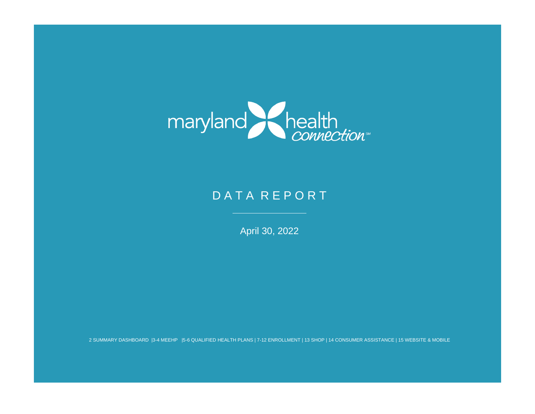

# D A T A R E P O R T

April 30, 2022

2 SUMMARY DASHBOARD |3-4 MEEHP |5-6 QUALIFIED HEALTH PLANS | 7-12 ENROLLMENT | 13 SHOP | 14 CONSUMER ASSISTANCE | 15 WEBSITE & MOBILE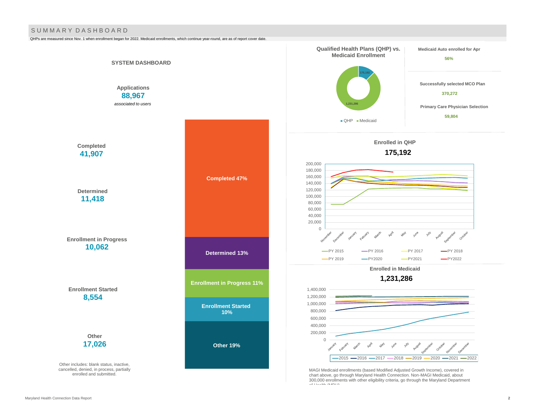#### S U M M A R Y D A S H B O A R D

QHPs are measured since Nov. 1 when enrollment began for 2022. Medicaid enrollments, which continue year-round, are as of report cover date.

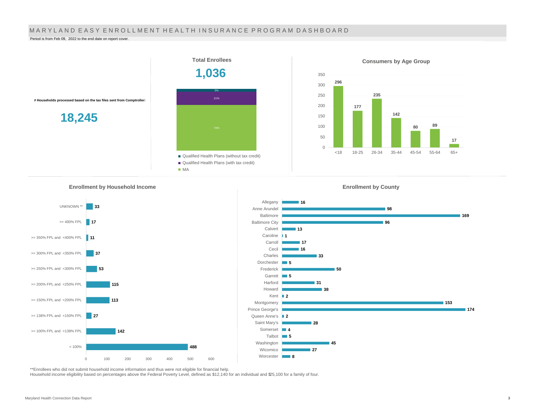#### MARYLAND EASY ENROLLMENT HEALTH INSURANCE PROGRAM DASHBOARD

Period is from Feb 09, 2022 to the end date on report cover.



**Enrollment by Household Income** 



**<sup>16</sup> 98 96 13 1** Caroline **17 16 33** Dorchester **5 50 5 31 38 2** Kent **2** Queen Anne's **28** Allegany Anne Arundel Baltimore Baltimore City Calvert Carroll Cecil Charles Frederick Garrett Harford Howard Montgomery Prince George's Saint Mary's

**45**

**27**

**4** Somerset **5** Talbot

Washington Wicomico

Worcester **8** 

\*\*Enrollees who did not submit household income information and thus were not eligible for financial help.

Household income eligibility based on percentages above the Federal Poverty Level, defined as \$12,140 for an individual and \$25,100 for a family of four.

**169**

**174**

**153**

**Enrollment by County**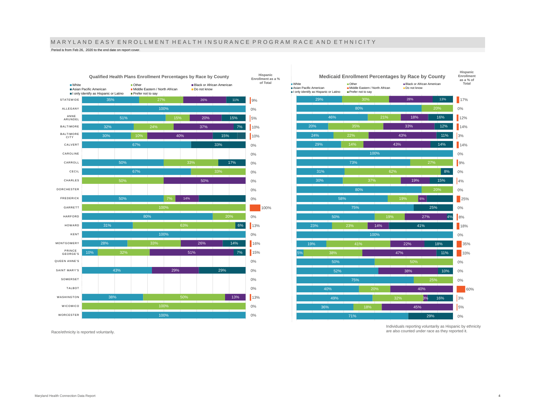## M A R Y L A N D E A S Y E N R O L L M E N T H E A L T H I N S U R A N C E P R O G R A M R A C E A N D E T H N I C I T Y

Period is from Feb 26, 2020 to the end date on report cover.



 $17%$ **as a % of Total**

**Hispanic Enrollment** 

0%  $12%$  $14%$ 3%  $14%$ 0% **9%** 0% 4% 0% 25% 0% 8% 18% 0%  $35%$ 33% 0% 0% 0% 60% 3% 5% 0%

16% 12% 11% 14%

8% 15%

4%

18%

19%

 $|6%$ 

27%

41%

25%

18% 11%

10%

40% 3% 45%

Individuals reporting voluntarily as Hispanic by ethnicity are also counted under race as they reported it.

29%

16%

Race/ethnicity is reported voluntarily.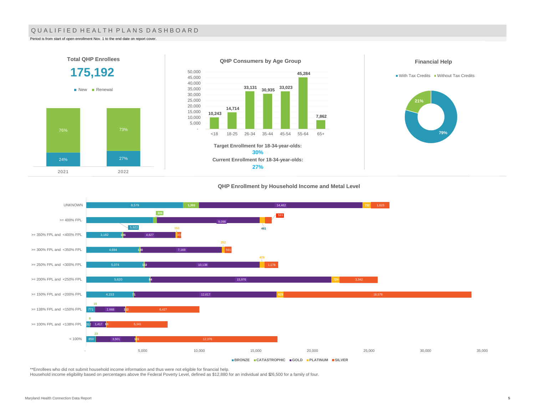### QUALIFIED HEALTH PLANS DASHBOARD

Period is from start of open enrollment Nov. 1 to the end date on report cover.

2021 2022



#### **QHP Enrollment by Household Income and Metal Level**



\*\*Enrollees who did not submit household income information and thus were not eligible for financial help.

Household income eligibility based on percentages above the Federal Poverty Level, defined as \$12,880 for an individual and \$26,500 for a family of four.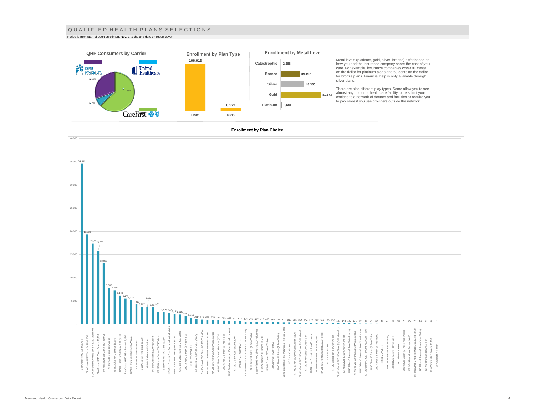#### Q U A L I F I E D H E A L T H P L A N S S E L E C T I O N S

Period is from start of open enrollment Nov. 1 to the end date on report cover.





Metal levels (platinum, gold, silver, bronze) differ based on how you and the insurance company share the cost of your care. For example, insurance companies cover 90 cents on the dollar for platinum plans and 60 cents on the dollar for bronze plans. Financial help is only available through

There are also different play types. Some allow you to see<br>almost any doctor or healthcare facility; others limit your<br>choices to a network of doctors and facilities or require you<br>to pay more if you use providers outside

#### **Enrollment by Plan Choice**

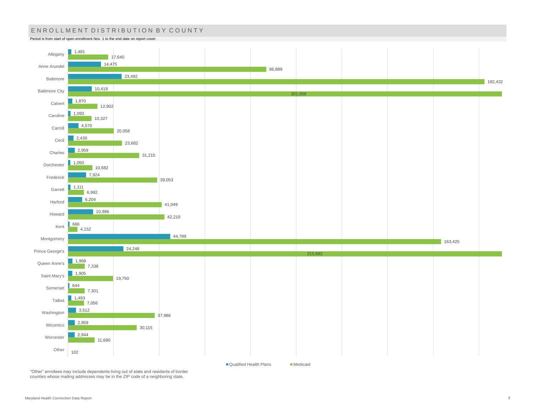## ENROLLMENT DISTRIBUTION BY COUNTY

Period is from start of open enrollment Nov. 1 to the end date on report cover.



"Other" enrollees may include dependents living out of state and residents of border counties whose mailing addresses may be in the ZIP code of a neighboring state.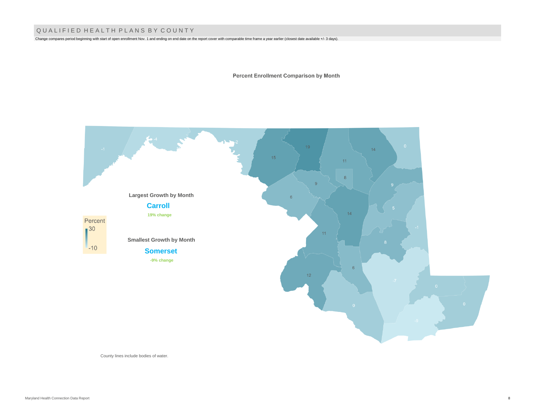## Q U A L I F I E D H E A L T H P L A N S B Y C O U N T Y

Change compares period beginning with start of open enrollment Nov. 1 and ending on end date on the report cover with comparable time frame a year earlier (closest date available +/- 3 days).

**Percent Enrollment Comparison by Month** 



County lines include bodies of water.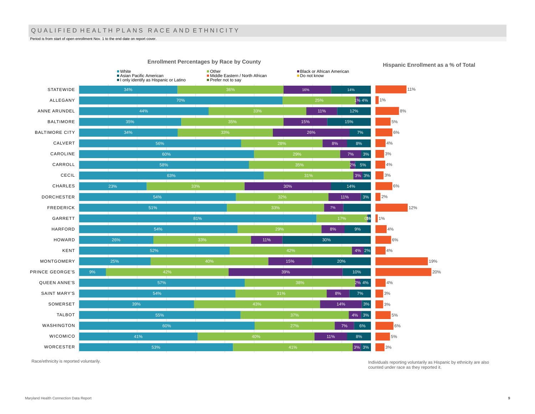## QUALIFIED HEALTH PLANS RACE AND ETHNICITY

Period is from start of open enrollment Nov. 1 to the end date on report cover.



**Hispanic Enrollment as a % of Total**

Race/ethnicity is reported voluntarily.

Individuals reporting voluntarily as Hispanic by ethnicity are also counted under race as they reported it.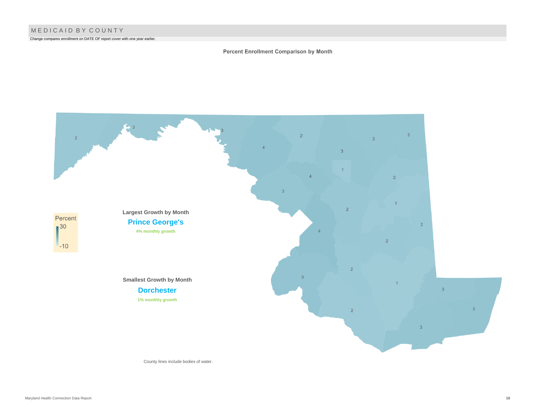Change compares enrollment on DATE OF report cover with one year earlier.

### Percent Enrollment Comparison by Month



County lines include bodies of water.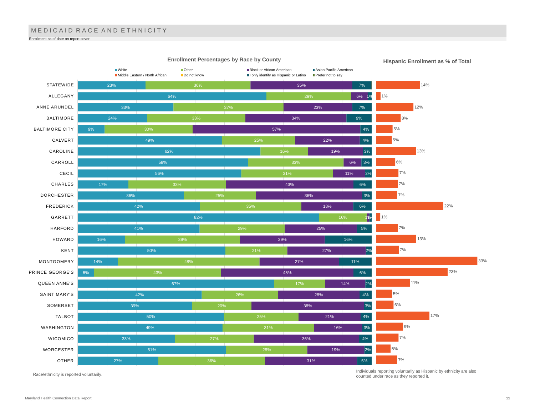## MEDICAID RACE AND ETHNICITY

Enrollment as of date on report cover..



Race/ethnicity is reported voluntarily.

Individuals reporting voluntarily as Hispanic by ethnicity are also counted under race as they reported it.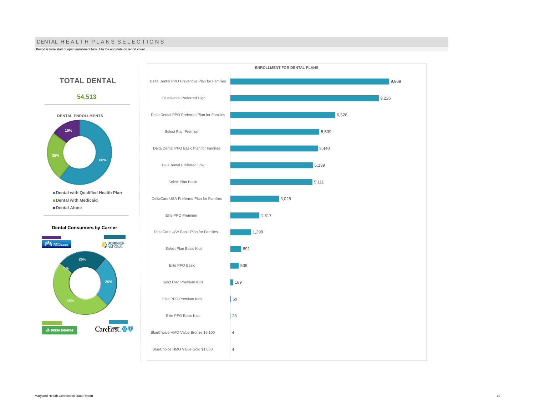#### DENTAL HE A L TH PLANS SELECTIONS

Period is from start of open enrollment Nov. 1 to the end date on report cover.

**25%**

**15%**



**48%**

**A DELTA DENTAL** 

**0%**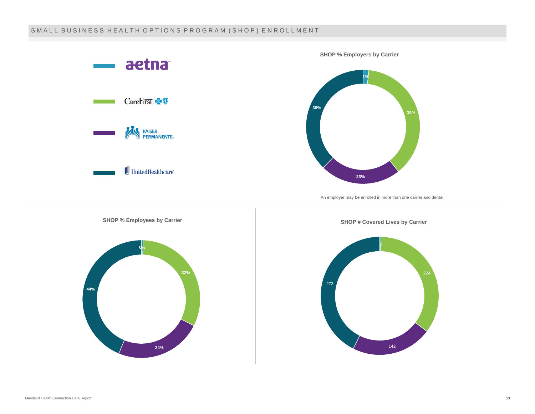## SMALL BUSINESS HEALTH OPTIONS PROGRAM (SHOP) ENROLLMENT

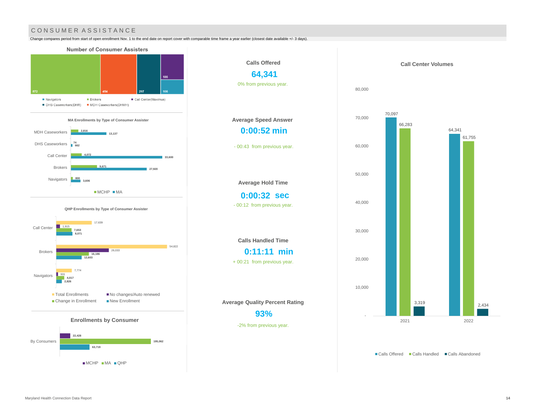## CONSUMER ASSISTANCE

Change compares period from start of open enrollment Nov. 1 to the end date on report cover with comparable time frame a year earlier (closest date available +/- 3 days).



MCHP MA QHP